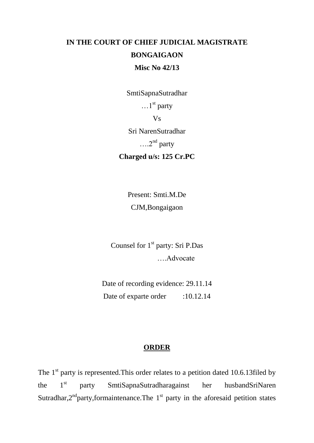## **IN THE COURT OF CHIEF JUDICIAL MAGISTRATE BONGAIGAON Misc No 42/13**

SmtiSapnaSutradhar

 $\dots$ 1<sup>st</sup> party

Vs

Sri NarenSutradhar

 $\dots$ <sup>2nd</sup> party

**Charged u/s: 125 Cr.PC**

Present: Smti.M.De CJM,Bongaigaon

Counsel for 1<sup>st</sup> party: Sri P.Das ….Advocate

Date of recording evidence: 29.11.14 Date of exparte order :10.12.14

## **ORDER**

The  $1<sup>st</sup>$  party is represented. This order relates to a petition dated 10.6.13filed by the 1<sup>st</sup> party SmtiSapnaSutradharagainst her husbandSriNaren Sutradhar, $2<sup>nd</sup>$  party, formaintenance. The  $1<sup>st</sup>$  party in the aforesaid petition states